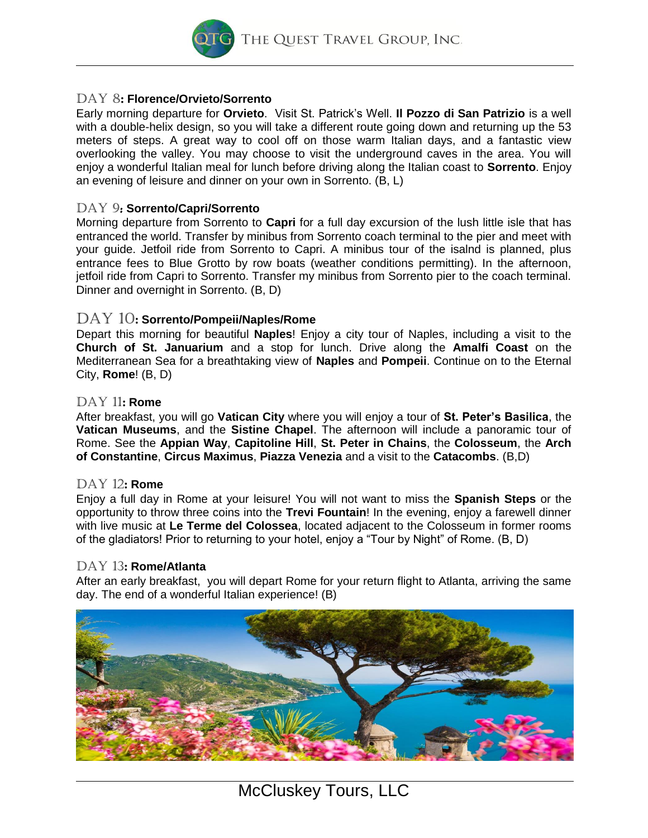THE QUEST TRAVEL GROUP, INC.

## Day 8: **Florence/Orvieto/Sorrento**

**Early morning departure for Orvieto. Visit St. Patrick's Well.** *Il Pozzo di San Patrizio* **is a well with a double-helix design, so you will take a different route going down and returning up the 53 meters of steps. A great way to cool off on those warm Italian days, and a fantastic view overlooking the valley. You may choose to visit the underground caves in the area. You will enjoy a wonderful Italian meal for lunch before driving along the Italian coast to Sorrento. Enjoy an evening of leisure and dinner on your own in Sorrento. (B, L)**

## Day 9: **Sorrento/Capri/Sorrento**

**Morning departure from Sorrento to Capri for a full day excursion of the lush little isle that has entranced the world. Transfer by minibus from Sorrento coach terminal to the pier and meet with your guide. Jetfoil ride from Sorrento to Capri. A minibus tour of the isalnd is planned, plus entrance fees to Blue Grotto by row boats (weather conditions permitting). In the afternoon, jetfoil ride from Capri to Sorrento. Transfer my minibus from Sorrento pier to the coach terminal. Dinner and overnight in Sorrento. (B, D)**

## Day 10: **Sorrento/Pompeii/Naples/Rome**

**Depart this morning for beautiful Naples! Enjoy a city tour of Naples, including a visit to the Church of St. Januarium and a stop for lunch. Drive along the Amalfi Coast on the Mediterranean Sea for a breathtaking view of Naples and Pompeii. Continue on to the Eternal City, Rome! (B, D)**

## Day 11: **Rome**

**After breakfast, you will go Vatican City where you will enjoy a tour of St. Peter's Basilica, the Vatican Museums, and the Sistine Chapel. The afternoon will include a panoramic tour of Rome. See the Appian Way, Capitoline Hill, St. Peter in Chains, the Colosseum, the Arch of Constantine, Circus Maximus, Piazza Venezia and a visit to the Catacombs. (B,D)**

## Day 12: **Rome**

**Enjoy a full day in Rome at your leisure! You will not want to miss the Spanish Steps or the opportunity to throw three coins into the Trevi Fountain! In the evening, enjoy a farewell dinner with live music at Le Terme del Colossea, located adjacent to the Colosseum in former rooms of the gladiators! Prior to returning to your hotel, enjoy a "Tour by Night" of Rome. (B, D)**

## Day 13: **Rome/Atlanta**

**After an early breakfast, you will depart Rome for your return flight to Atlanta, arriving the same day. The end of a wonderful Italian experience! (B)**

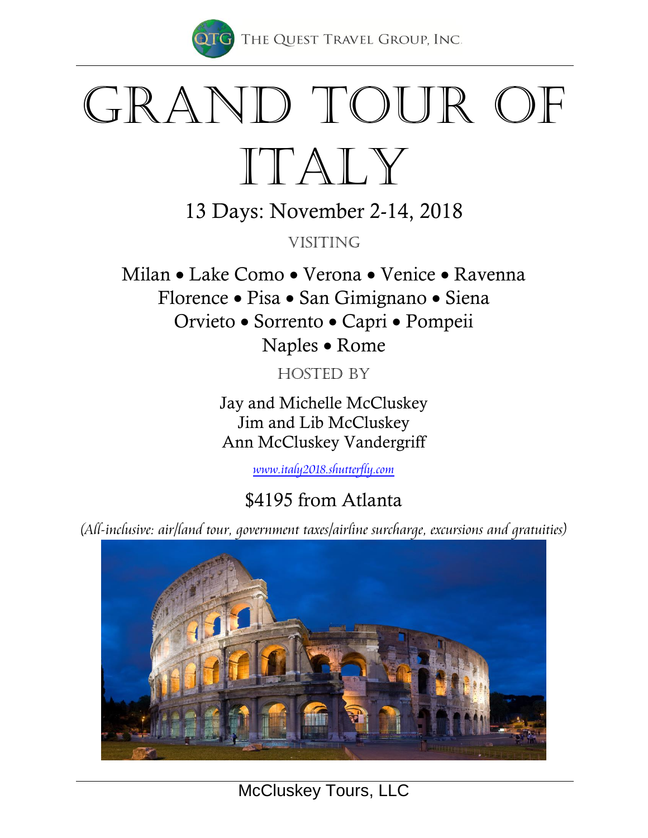

THE QUEST TRAVEL GROUP, INC.

# GRAND TOUR OF Italy

13 Days: November 2-14, 2018

**VISITING** 

Milan • Lake Como • Verona • Venice • Ravenna Florence • Pisa • San Gimignano • Siena Orvieto • Sorrento • Capri • Pompeii Naples • Rome

HOSTED BY

Jay and Michelle McCluskey Jim and Lib McCluskey Ann McCluskey Vandergriff

*[www.italy2018.shutterfly.com](http://www.ireland2017.shutterfly.com/)*

## \$4195 from Atlanta

*(All-inclusive: air/land tour, government taxes/airline surcharge, excursions and gratuities)*



*McCluskey Tours, LLC*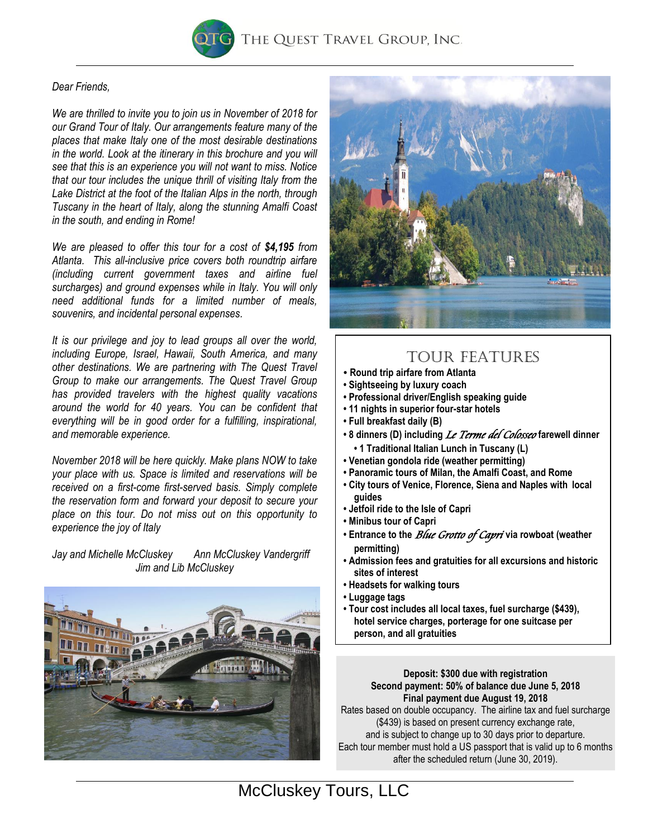

## *Dear Friends,*

*We are thrilled to invite you to join us in November of 2018 for our Grand Tour of Italy. Our arrangements feature many of the places that make Italy one of the most desirable destinations in the world. Look at the itinerary in this brochure and you will see that this is an experience you will not want to miss. Notice that our tour includes the unique thrill of visiting Italy from the Lake District at the foot of the Italian Alps in the north, through Tuscany in the heart of Italy, along the stunning Amalfi Coast in the south, and ending in Rome!*

*We are pleased to offer this tour for a cost of \$4,195 from Atlanta. This all-inclusive price covers both roundtrip airfare (including current government taxes and airline fuel surcharges) and ground expenses while in Italy. You will only need additional funds for a limited number of meals, souvenirs, and incidental personal expenses.*

*It is our privilege and joy to lead groups all over the world, including Europe, Israel, Hawaii, South America, and many other destinations. We are partnering with The Quest Travel Group to make our arrangements. The Quest Travel Group has provided travelers with the highest quality vacations around the world for 40 years. You can be confident that everything will be in good order for a fulfilling, inspirational, and memorable experience.* 

*November 2018 will be here quickly. Make plans NOW to take your place with us. Space is limited and reservations will be received on a first-come first-served basis. Simply complete the reservation form and forward your deposit to secure your place on this tour. Do not miss out on this opportunity to experience the joy of Italy* 

*Jay and Michelle McCluskey Ann McCluskey Vandergriff Jim and Lib McCluskey*





## TOUR FEATURES

- **Round trip airfare from Atlanta**
- **Sightseeing by luxury coach**
- **Professional driver/English speaking guide**
- **11 nights in superior four-star hotels**
- **Full breakfast daily (B)**
- **8 dinners (D) including** *Le Terme del Colosseo* **farewell dinner • 1 Traditional Italian Lunch in Tuscany (L)**
- **Venetian gondola ride (weather permitting)**
- **Panoramic tours of Milan, the Amalfi Coast, and Rome**
- **City tours of Venice, Florence, Siena and Naples with local guides**
- **Jetfoil ride to the Isle of Capri**
- **Minibus tour of Capri**
- **Entrance to the** *Blue Grotto of Capri* **via rowboat (weather permitting)**
- **Admission fees and gratuities for all excursions and historic sites of interest**
- **Headsets for walking tours**
- **Luggage tags**
- **Tour cost includes all local taxes, fuel surcharge (\$439), hotel service charges, porterage for one suitcase per person, and all gratuities**

#### **Deposit: \$300 due with registration Second payment: 50% of balance due June 5, 2018 Final payment due August 19, 2018**

Rates based on double occupancy. The airline tax and fuel surcharge (\$439) is based on present currency exchange rate, and is subject to change up to 30 days prior to departure. Each tour member must hold a US passport that is valid up to 6 months after the scheduled return (June 30, 2019).